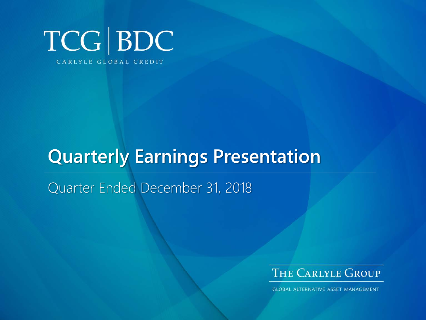

# **Quarterly Earnings Presentation**

Quarter Ended December 31, 2018



**GLOBAL ALTERNATIVE ASSET MANAGEMENT**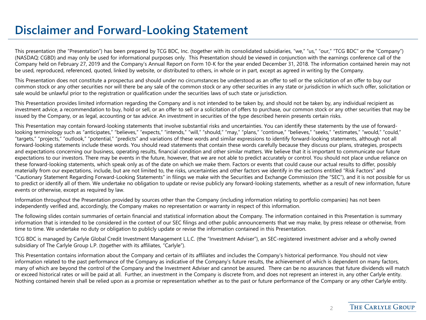### **Disclaimer and Forward-Looking Statement**

This presentation (the "Presentation") has been prepared by TCG BDC, Inc. (together with its consolidated subsidiaries, "we," "us," "our," "TCG BDC" or the "Company") (NASDAQ: CGBD) and may only be used for informational purposes only. This Presentation should be viewed in conjunction with the earnings conference call of the Company held on February 27, 2019 and the Company's Annual Report on Form 10-K for the year ended December 31, 2018. The information contained herein may not be used, reproduced, referenced, quoted, linked by website, or distributed to others, in whole or in part, except as agreed in writing by the Company.

This Presentation does not constitute a prospectus and should under no circumstances be understood as an offer to sell or the solicitation of an offer to buy our common stock or any other securities nor will there be any sale of the common stock or any other securities in any state or jurisdiction in which such offer, solicitation or sale would be unlawful prior to the registration or qualification under the securities laws of such state or jurisdiction.

This Presentation provides limited information regarding the Company and is not intended to be taken by, and should not be taken by, any individual recipient as investment advice, a recommendation to buy, hold or sell, or an offer to sell or a solicitation of offers to purchase, our common stock or any other securities that may be issued by the Company, or as legal, accounting or tax advice. An investment in securities of the type described herein presents certain risks.

This Presentation may contain forward-looking statements that involve substantial risks and uncertainties. You can identify these statements by the use of forwardlooking terminology such as "anticipates," "believes," "expects," "intends," "will," "should," "may," "plans," "continue," "believes," "seeks," "estimates," "would," "could," "targets," "projects," "outlook," "potential," "predicts" and variations of these words and similar expressions to identify forward-looking statements, although not all forward-looking statements include these words. You should read statements that contain these words carefully because they discuss our plans, strategies, prospects and expectations concerning our business, operating results, financial condition and other similar matters. We believe that it is important to communicate our future expectations to our investors. There may be events in the future, however, that we are not able to predict accurately or control. You should not place undue reliance on these forward-looking statements, which speak only as of the date on which we make them. Factors or events that could cause our actual results to differ, possibly materially from our expectations, include, but are not limited to, the risks, uncertainties and other factors we identify in the sections entitled "Risk Factors" and "Cautionary Statement Regarding Forward-Looking Statements" in filings we make with the Securities and Exchange Commission (the "SEC"), and it is not possible for us to predict or identify all of them. We undertake no obligation to update or revise publicly any forward-looking statements, whether as a result of new information, future events or otherwise, except as required by law.

Information throughout the Presentation provided by sources other than the Company (including information relating to portfolio companies) has not been independently verified and, accordingly, the Company makes no representation or warranty in respect of this information.

The following slides contain summaries of certain financial and statistical information about the Company. The information contained in this Presentation is summary information that is intended to be considered in the context of our SEC filings and other public announcements that we may make, by press release or otherwise, from time to time. We undertake no duty or obligation to publicly update or revise the information contained in this Presentation.

TCG BDC is managed by Carlyle Global Credit Investment Management L.L.C. (the "Investment Adviser"), an SEC-registered investment adviser and a wholly owned subsidiary of The Carlyle Group L.P. (together with its affiliates, "Carlyle").

This Presentation contains information about the Company and certain of its affiliates and includes the Company's historical performance. You should not view information related to the past performance of the Company as indicative of the Company's future results, the achievement of which is dependent on many factors, many of which are beyond the control of the Company and the Investment Adviser and cannot be assured. There can be no assurances that future dividends will match or exceed historical rates or will be paid at all. Further, an investment in the Company is discrete from, and does not represent an interest in, any other Carlyle entity. Nothing contained herein shall be relied upon as a promise or representation whether as to the past or future performance of the Company or any other Carlyle entity.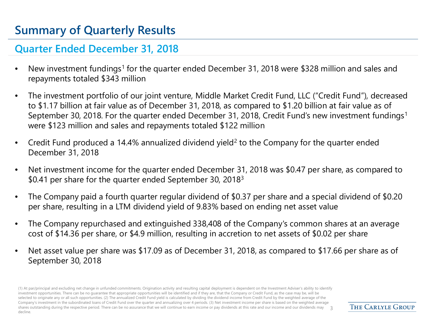## **Summary of Quarterly Results**

#### **Quarter Ended December 31, 2018**

- New investment fundings<sup>1</sup> for the quarter ended December 31, 2018 were \$328 million and sales and repayments totaled \$343 million
- The investment portfolio of our joint venture, Middle Market Credit Fund, LLC ("Credit Fund"), decreased to \$1.17 billion at fair value as of December 31, 2018, as compared to \$1.20 billion at fair value as of September 30, 2018. For the quarter ended December 31, 2018, Credit Fund's new investment fundings<sup>1</sup> were \$123 million and sales and repayments totaled \$122 million
- Credit Fund produced a 14.4% annualized dividend yield<sup>2</sup> to the Company for the quarter ended December 31, 2018
- Net investment income for the quarter ended December 31, 2018 was \$0.47 per share, as compared to \$0.41 per share for the quarter ended September 30, 2018<sup>3</sup>
- The Company paid a fourth quarter regular dividend of \$0.37 per share and a special dividend of \$0.20 per share, resulting in a LTM dividend yield of 9.83% based on ending net asset value
- The Company repurchased and extinguished 338,408 of the Company's common shares at an average cost of \$14.36 per share, or \$4.9 million, resulting in accretion to net assets of \$0.02 per share
- Net asset value per share was \$17.09 as of December 31, 2018, as compared to \$17.66 per share as of September 30, 2018

(1) At par/principal and excluding net change in unfunded commitments. Origination activity and resulting capital deployment is dependent on the Investment Adviser's ability to identify investment opportunities. There can be no guarantee that appropriate opportunities will be identified and if they are, that the Company or Credit Fund, as the case may be, will be selected to originate any or all such opportunities. (2) The annualized Credit Fund yield is calculated by dividing the dividend income from Credit Fund by the weighted average of the Company's investment in the subordinated loans of Credit Fund over the quarter and annualizing over 4 periods. (3) Net investment income per share is based on the weighted average shares outstanding during the respective period. There can be no assurance that we will continue to earn income or pay dividends at this rate and our income and our dividends may 3 decline.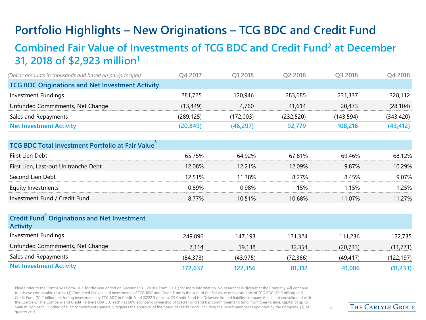## **Portfolio Highlights – New Originations – TCG BDC and Credit Fund**

#### **Combined Fair Value of Investments of TCG BDC and Credit Fund2 at December 31, 2018 of \$2,923 million1**

| (Dollar amounts in thousands and based on par/principal) | 04 2017   | O1 2018   | O <sub>2</sub> 2018 | O <sub>3</sub> 2018 | Q4 2018    |
|----------------------------------------------------------|-----------|-----------|---------------------|---------------------|------------|
| <b>TCG BDC Originations and Net Investment Activity</b>  |           |           |                     |                     |            |
| Investment Fundings                                      | 281.725   | 120.946   | 283,685             | 231,337             | 328,112    |
| Unfunded Commitments, Net Change                         | (13,449)  | 4.760     | 41.614              | 20,473              | (28, 104)  |
| Sales and Repayments                                     | (289.125) | (172,003) | (232.520)           | (143.594)           | (343, 420) |
| <b>Net Investment Activity</b>                           | (20,849)  | (46,297)  | 92.779              | 108.216             | (43,412)   |

| <b>TCG BDC Total Investment Portfolio at Fair Value</b> |          |           |         |        |        |
|---------------------------------------------------------|----------|-----------|---------|--------|--------|
| First Lien Debt                                         | 65.75%   | 64 92%    | 67.81%  | 6946%  | 68 12% |
| First Lien, Last-out Unitranche Debt                    | 12.08%   | 12.21%    | 12.09%  | 9.87%  | 1በ 29% |
| Second Lien Debt                                        | 12 51% ነ | 11.38%    | 8.27%   | 845%   | 9 0 7% |
| Equity Investments                                      | በ ጸዓ%    | በ ዓጸ%     | 1 1 5 % | .15%   | -25%   |
| Investment Fund / Credit Fund                           | 8.77%    | $10.51\%$ | 10.68%  | 11 07% | 1 2 7% |

#### **Credit Fund<sup>2</sup> Originations and Net Investment Activity**

| Investment Fundings              | 249,896  | 147.193  | 121.324  | 111,236  | 122,735   |
|----------------------------------|----------|----------|----------|----------|-----------|
| Unfunded Commitments, Net Change | 7.114    | 19,138   | 32,354   | (20.733) | (11, 771) |
| Sales and Repayments             | (84.373) | (43.975) | (72.366) | (49.417) | (122,197) |
| <b>Net Investment Activity</b>   | 172.637  | 122.356  | 81.312   | 41.086   | 11,233)   |

Please refer to the Company's Form 10-K for the year ended on December 31, 2018 ("Form 10-K") for more information. No assurance is given that the Company will continue to achieve comparable results. (1) Combined fair value of investments of TCG BDC and Credit Fund is the sum of the fair value of investments of TCG BDC (\$2.0 billion) and Credit Fund (\$1.2 billion) excluding investments by TCG BDC in Credit Fund (\$222.3 million). (2) Credit Fund is a Delaware limited liability company that is not consolidated with the Company. The Company and Credit Partners USA LLC each has 50% economic ownership of Credit Fund and has commitments to fund, from time to time, capital of up to \$400 million each. Funding of such commitments generally requires the approval of the board of Credit Fund, including the board members appointed by the Company. (3) At quarter end.

 $\Delta$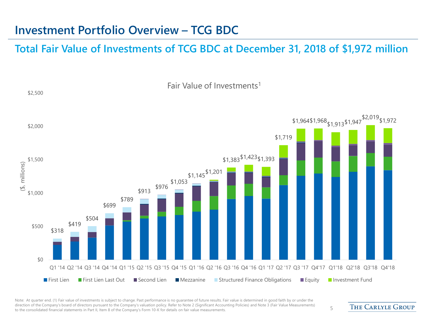### **Investment Portfolio Overview – TCG BDC**

#### **Total Fair Value of Investments of TCG BDC at December 31, 2018 of \$1,972 million**



Note: At quarter end. (1) Fair value of investments is subject to change. Past performance is no quarantee of future results. Fair value is determined in good faith by or under the direction of the Company's board of directors pursuant to the Company's valuation policy. Refer to Note 2 (Significant Accounting Policies) and Note 3 (Fair Value Measurements) affection of the company's board of directors pursuant to the Company's valuation policy. Refer to Note 2 (significant Accounting Policies) and Note 5 (Fair value measurements) 5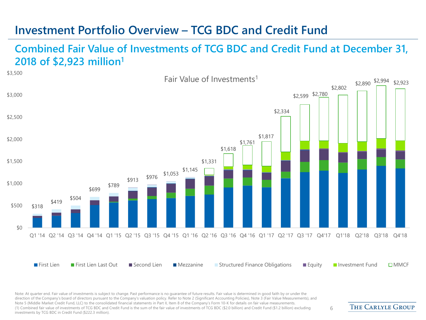### **Investment Portfolio Overview – TCG BDC and Credit Fund**

#### **Combined Fair Value of Investments of TCG BDC and Credit Fund at December 31, 2018 of \$2,923 million1**



Note: At quarter end. Fair value of investments is subject to change. Past performance is no guarantee of future results. Fair value is determined in good faith by or under the direction of the Company's board of directors pursuant to the Company's valuation policy. Refer to Note 2 (Significant Accounting Policies), Note 3 (Fair Value Measurements), and Note 5 (Middle Market Credit Fund, LLC) to the consolidated financial statements in Part II, Item 8 of the Company's Form 10-K for details on fair value measurements. (1) Combined fair value of investments of TCG BDC and Credit Fund is the sum of the fair value of investments of TCG BDC (\$2.0 billion) and Credit Fund (\$1.2 billion) excluding 6<br>investments by TCG BDC in Credit Fund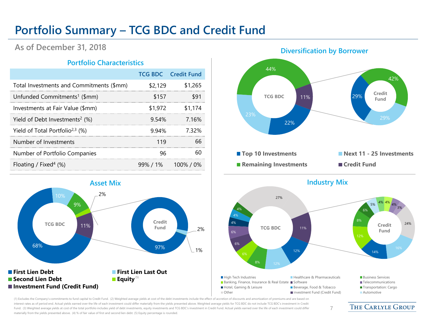## **Portfolio Summary – TCG BDC and Credit Fund**

#### **As of December 31, 2018**

#### **Portfolio Characteristics**

|                                                |         | <b>TCG BDC</b> Credit Fund |
|------------------------------------------------|---------|----------------------------|
| Total Investments and Commitments (\$mm)       | \$2,129 | \$1,265                    |
| Unfunded Commitments <sup>1</sup> (\$mm)       | \$157   | \$91                       |
| Investments at Fair Value (\$mm)               | \$1,972 | \$1.174                    |
| Yield of Debt Investments <sup>2</sup> $(\%)$  | 9.54%   | 7 16%                      |
| Yield of Total Portfolio <sup>2,3</sup> $(\%)$ | 9.94%   | 7.32%                      |
| Number of Investments                          | 119     | 66                         |
| Number of Portfolio Companies                  | 96      |                            |
| Floating / Fixed <sup>4</sup> $(\%)$           |         | $99\%$ / 1% 100% / 0%      |



#### **Diversification by Borrower**





7

(1) Excludes the Company's commitments to fund capital to Credit Fund. (2) Weighted average yields at cost of the debt investments include the effect of accretion of discounts and amortization of premiums and are based on interest rates as of period end. Actual yields earned over the life of each investment could differ materially from the yields presented above. Weighted average yields for TCG BDC do not include TCG BDC's investment in Cre Fund. (3) Weighted average yields at cost of the total portfolio includes yield of debt investments, equity investments and TCG BDC's investment in Credit Fund. Actual yields earned over the life of each investment could d materially from the yields presented above. (4) % of fair value of first and second lien debt. (5) Equity percentage is rounded.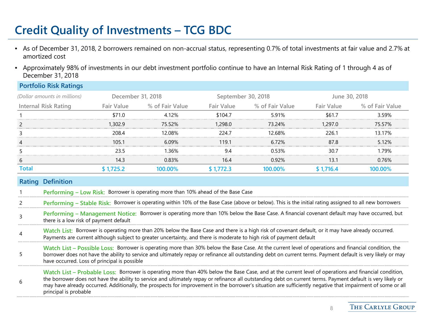## **Credit Quality of Investments – TCG BDC**

**Portfolio Risk Ratings**

- As of December 31, 2018, 2 borrowers remained on non-accrual status, representing 0.7% of total investments at fair value and 2.7% at amortized cost
- Approximately 98% of investments in our debt investment portfolio continue to have an Internal Risk Rating of 1 through 4 as of December 31, 2018

|              | <b>PORTIONO RISK RATINGS</b>                                                                                                                                                                                                                                                                                                                                                                                                                                                                                 |                   |                                                                                   |                   |                                                                                                                                                                                                                                                                           |                   |                 |
|--------------|--------------------------------------------------------------------------------------------------------------------------------------------------------------------------------------------------------------------------------------------------------------------------------------------------------------------------------------------------------------------------------------------------------------------------------------------------------------------------------------------------------------|-------------------|-----------------------------------------------------------------------------------|-------------------|---------------------------------------------------------------------------------------------------------------------------------------------------------------------------------------------------------------------------------------------------------------------------|-------------------|-----------------|
|              | (Dollar amounts in millions)                                                                                                                                                                                                                                                                                                                                                                                                                                                                                 | December 31, 2018 |                                                                                   |                   | September 30, 2018                                                                                                                                                                                                                                                        |                   | June 30, 2018   |
|              | <b>Internal Risk Rating</b>                                                                                                                                                                                                                                                                                                                                                                                                                                                                                  | <b>Fair Value</b> | % of Fair Value                                                                   | <b>Fair Value</b> | % of Fair Value                                                                                                                                                                                                                                                           | <b>Fair Value</b> | % of Fair Value |
|              |                                                                                                                                                                                                                                                                                                                                                                                                                                                                                                              | \$71.0            | 4.12%                                                                             | \$104.7           | 5.91%                                                                                                                                                                                                                                                                     | \$61.7            | 3.59%           |
| 2            |                                                                                                                                                                                                                                                                                                                                                                                                                                                                                                              | 1,302.9           | 75.52%                                                                            | 1,298.0           | 73.24%                                                                                                                                                                                                                                                                    | 1,297.0           | 75.57%          |
|              |                                                                                                                                                                                                                                                                                                                                                                                                                                                                                                              | 208.4             | 12.08%                                                                            | 224.7             | 12.68%                                                                                                                                                                                                                                                                    | 226.1             | 13.17%          |
| 4            |                                                                                                                                                                                                                                                                                                                                                                                                                                                                                                              | 105.1             | 6.09%                                                                             | 119.1             | 6.72%                                                                                                                                                                                                                                                                     | 87.8              | 5.12%           |
|              |                                                                                                                                                                                                                                                                                                                                                                                                                                                                                                              | 23.5              | 1.36%                                                                             | 9.4               | 0.53%                                                                                                                                                                                                                                                                     | 30.7              | 1.79%           |
| 6            |                                                                                                                                                                                                                                                                                                                                                                                                                                                                                                              | 14.3              | 0.83%                                                                             | 16.4              | 0.92%                                                                                                                                                                                                                                                                     | 13.1              | 0.76%           |
| <b>Total</b> |                                                                                                                                                                                                                                                                                                                                                                                                                                                                                                              | \$1,725.2         | 100.00%                                                                           | \$1,772.3         | 100.00%                                                                                                                                                                                                                                                                   | \$1,716.4         | 100.00%         |
|              | <b>Rating Definition</b>                                                                                                                                                                                                                                                                                                                                                                                                                                                                                     |                   | Performing - Low Risk: Borrower is operating more than 10% ahead of the Base Case |                   |                                                                                                                                                                                                                                                                           |                   |                 |
|              |                                                                                                                                                                                                                                                                                                                                                                                                                                                                                                              |                   |                                                                                   |                   | Performing - Stable Risk: Borrower is operating within 10% of the Base Case (above or below). This is the initial rating assigned to all new borrowers                                                                                                                    |                   |                 |
| 3            | there is a low risk of payment default                                                                                                                                                                                                                                                                                                                                                                                                                                                                       |                   |                                                                                   |                   | Performing - Management Notice: Borrower is operating more than 10% below the Base Case. A financial covenant default may have occurred, but                                                                                                                              |                   |                 |
| 4            |                                                                                                                                                                                                                                                                                                                                                                                                                                                                                                              |                   |                                                                                   |                   | Watch List: Borrower is operating more than 20% below the Base Case and there is a high risk of covenant default, or it may have already occurred.<br>Payments are current although subject to greater uncertainty, and there is moderate to high risk of payment default |                   |                 |
| 5.           | Watch List - Possible Loss: Borrower is operating more than 30% below the Base Case. At the current level of operations and financial condition, the<br>borrower does not have the ability to service and ultimately repay or refinance all outstanding debt on current terms. Payment default is very likely or may<br>have occurred. Loss of principal is possible                                                                                                                                         |                   |                                                                                   |                   |                                                                                                                                                                                                                                                                           |                   |                 |
| 6            | Watch List – Probable Loss: Borrower is operating more than 40% below the Base Case, and at the current level of operations and financial condition,<br>the borrower does not have the ability to service and ultimately repay or refinance all outstanding debt on current terms. Payment default is very likely or<br>may have already occurred. Additionally, the prospects for improvement in the borrower's situation are sufficiently negative that impairment of some or all<br>principal is probable |                   |                                                                                   |                   |                                                                                                                                                                                                                                                                           |                   |                 |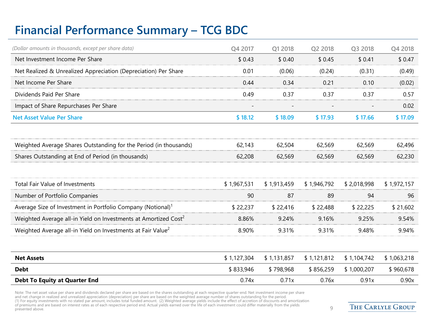## **Financial Performance Summary – TCG BDC**

| (Dollar amounts in thousands, except per share data)                        | Q4 2017     | Q1 2018     | Q2 2018     | Q3 2018     | Q4 2018     |
|-----------------------------------------------------------------------------|-------------|-------------|-------------|-------------|-------------|
| Net Investment Income Per Share                                             | \$0.43      | \$0.40      | \$0.45      | \$0.41      | \$0.47      |
| Net Realized & Unrealized Appreciation (Depreciation) Per Share             | 0.01        | (0.06)      | (0.24)      | (0.31)      | (0.49)      |
| Net Income Per Share                                                        | 0.44        | 0.34        | 0.21        | 0.10        | (0.02)      |
| Dividends Paid Per Share                                                    | 0.49        | 0.37        | 0.37        | 0.37        | 0.57        |
| Impact of Share Repurchases Per Share                                       |             |             |             |             | 0.02        |
| <b>Net Asset Value Per Share</b>                                            | \$18.12     | \$18.09     | \$17.93     | \$17.66     | \$17.09     |
| Weighted Average Shares Outstanding for the Period (in thousands)           | 62,143      | 62,504      | 62,569      | 62,569      | 62,496      |
| Shares Outstanding at End of Period (in thousands)                          | 62,208      | 62,569      | 62,569      | 62,569      | 62,230      |
| Total Fair Value of Investments                                             | \$1,967,531 | \$1,913,459 | \$1,946,792 | \$2,018,998 | \$1,972,157 |
| Number of Portfolio Companies                                               | 90          | 87          | 89          | 94          | 96          |
| Average Size of Investment in Portfolio Company (Notional) <sup>1</sup>     | \$22,237    | \$22,416    | \$22,488    | \$22,225    | \$21,602    |
| Weighted Average all-in Yield on Investments at Amortized Cost <sup>2</sup> | 8.86%       | 9.24%       | 9.16%       | 9.25%       | 9.54%       |
| Weighted Average all-in Yield on Investments at Fair Value <sup>2</sup>     | 8.90%       | 9.31%       | 9.31%       | 9.48%       | 9.94%       |
| <b>Net Assets</b>                                                           | \$1,127,304 | \$1,131,857 | \$1,121,812 | \$1,104,742 | \$1,063,218 |
| <b>Debt</b>                                                                 | \$833,946   | \$798,968   | \$856,259   | \$1,000,207 | \$960,678   |
| <b>Debt To Equity at Quarter End</b>                                        | 0.74x       | 0.71x       | 0.76x       | 0.91x       | 0.90x       |

Note: The net asset value per share and dividends declared per share are based on the shares outstanding at each respective quarter-end. Net investment income per share<br>and net change in realized and unrealized appreciatio of premiums and are based on interest rates as of each respective period end. Actual yields earned over the life of each investment could differ materially from the yields  $9\,$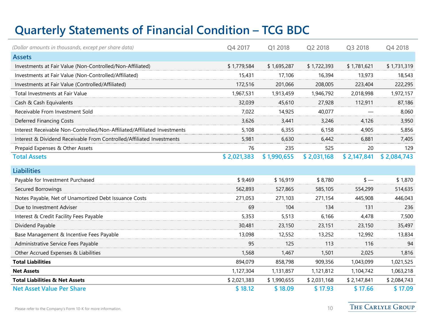## **Quarterly Statements of Financial Condition – TCG BDC**

| (Dollar amounts in thousands, except per share data)                     | Q4 2017     | Q1 2018     | Q2 2018     | Q3 2018     | Q4 2018     |
|--------------------------------------------------------------------------|-------------|-------------|-------------|-------------|-------------|
| <b>Assets</b>                                                            |             |             |             |             |             |
| Investments at Fair Value (Non-Controlled/Non-Affiliated)                | \$1,779,584 | \$1,695,287 | \$1,722,393 | \$1,781,621 | \$1,731,319 |
| Investments at Fair Value (Non-Controlled/Affiliated)                    | 15,431      | 17,106      | 16,394      | 13,973      | 18,543      |
| Investments at Fair Value (Controlled/Affiliated)                        | 172,516     | 201,066     | 208,005     | 223,404     | 222,295     |
| Total Investments at Fair Value                                          | 1,967,531   | 1,913,459   | 1,946,792   | 2,018,998   | 1,972,157   |
| Cash & Cash Equivalents                                                  | 32,039      | 45,610      | 27,928      | 112,911     | 87,186      |
| Receivable From Investment Sold                                          | 7,022       | 14,925      | 40,077      |             | 8,060       |
| Deferred Financing Costs                                                 | 3,626       | 3,441       | 3,246       | 4,126       | 3,950       |
| Interest Receivable Non-Controlled/Non-Affiliated/Affiliated Investments | 5,108       | 6,355       | 6,158       | 4,905       | 5,856       |
| Interest & Dividend Receivable From Controlled/Affiliated Investments    | 5,981       | 6,630       | 6,442       | 6,881       | 7,405       |
| Prepaid Expenses & Other Assets                                          | 76          | 235         | 525         | 20          | 129         |
| <b>Total Assets</b>                                                      | \$2,021,383 | \$1,990,655 | \$2,031,168 | \$2,147,841 | \$2,084,743 |
| <b>Liabilities</b>                                                       |             |             |             |             |             |
| Payable for Investment Purchased                                         | \$9,469     | \$16,919    | \$8,780     | $s -$       | \$1,870     |
| Secured Borrowings                                                       | 562,893     | 527,865     | 585,105     | 554,299     | 514,635     |
| Notes Payable, Net of Unamortized Debt Issuance Costs                    | 271,053     | 271,103     | 271,154     | 445,908     | 446,043     |
| Due to Investment Adviser                                                | 69          | 104         | 134         | 131         | 236         |
| Interest & Credit Facility Fees Payable                                  | 5,353       | 5,513       | 6,166       | 4,478       | 7,500       |
| Dividend Payable                                                         | 30,481      | 23,150      | 23,151      | 23,150      | 35,497      |
| Base Management & Incentive Fees Payable                                 | 13,098      | 12,552      | 13,252      | 12,992      | 13,834      |
| Administrative Service Fees Payable                                      | 95          | 125         | 113         | 116         | 94          |
| Other Accrued Expenses & Liabilities                                     | 1,568       | 1,467       | 1,501       | 2,025       | 1,816       |
| <b>Total Liabilities</b>                                                 | 894,079     | 858,798     | 909,356     | 1,043,099   | 1,021,525   |
| <b>Net Assets</b>                                                        | 1,127,304   | 1,131,857   | 1,121,812   | 1,104,742   | 1,063,218   |
| <b>Total Liabilities &amp; Net Assets</b>                                | \$2,021,383 | \$1,990,655 | \$2,031,168 | \$2,147,841 | \$2,084,743 |
| <b>Net Asset Value Per Share</b>                                         | \$18.12     | \$18.09     | \$17.93     | \$17.66     | \$17.09     |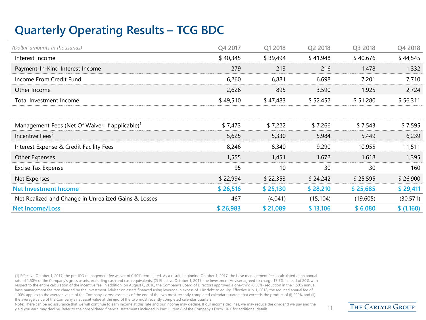## **Quarterly Operating Results – TCG BDC**

| (Dollar amounts in thousands)                               | Q4 2017  | Q1 2018  | Q <sub>2</sub> 2018 | Q3 2018  | Q4 2018   |
|-------------------------------------------------------------|----------|----------|---------------------|----------|-----------|
| Interest Income                                             | \$40,345 | \$39,494 | \$41,948            | \$40,676 | \$44,545  |
| Payment-In-Kind Interest Income                             | 279      | 213      | 216                 | 1,478    | 1,332     |
| Income From Credit Fund                                     | 6,260    | 6,881    | 6,698               | 7,201    | 7,710     |
| Other Income                                                | 2,626    | 895      | 3,590               | 1,925    | 2,724     |
| Total Investment Income                                     | \$49,510 | \$47,483 | \$52,452            | \$51,280 | \$56,311  |
|                                                             |          |          |                     |          |           |
| Management Fees (Net Of Waiver, if applicable) <sup>1</sup> | \$7,473  | \$7,222  | \$7,266             | \$7,543  | \$7,595   |
| Incentive Fees <sup>2</sup>                                 | 5,625    | 5,330    | 5,984               | 5,449    | 6,239     |
| Interest Expense & Credit Facility Fees                     | 8,246    | 8,340    | 9,290               | 10,955   | 11,511    |
| Other Expenses                                              | 1,555    | 1,451    | 1,672               | 1,618    | 1,395     |
| <b>Excise Tax Expense</b>                                   | 95       | 10       | 30                  | 30       | 160       |
| Net Expenses                                                | \$22,994 | \$22,353 | \$24,242            | \$25,595 | \$26,900  |
| <b>Net Investment Income</b>                                | \$26,516 | \$25,130 | \$28,210            | \$25,685 | \$29,411  |
| Net Realized and Change in Unrealized Gains & Losses        | 467      | (4,041)  | (15, 104)           | (19,605) | (30, 571) |
| <b>Net Income/Loss</b>                                      | \$26,983 | \$21,089 | \$13,106            | \$6,080  | \$(1,160) |

(1) Effective October 1, 2017, the pre-IPO management fee waiver of 0.50% terminated. As a result, beginning October 1, 2017, the base management fee is calculated at an annual rate of 1.50% of the Company's gross assets, excluding cash and cash equivalents. (2) Effective October 1, 2017, the Investment Adviser agreed to charge 17.5% instead of 20% with respect to the entire calculation of the incentive fee. In addition, on August 6, 2018, the Company's Board of Directors approved a one-third (0.50%) reduction in the 1.50% annual base management fee rate charged by the Investment Adviser on assets financed using leverage in excess of 1.0x debt to equity. Effective July 1, 2018, the reduced annual fee of 1.00% applies to the average value of the Company's gross assets as of the end of the two most recently completed calendar quarters that exceeds the product of (i) 200% and (ii) the average value of the Company's net asset value at the end of the two most recently completed calendar quarters.

Note: There can be no assurance that we will continue to earn income at this rate and our income may decline. If our income declines, we may reduce the dividend we pay and the yield you earn may decline. Refer to the consolidated financial statements included in Part II, Item 8 of the Company's Form 10-K for additional details. 11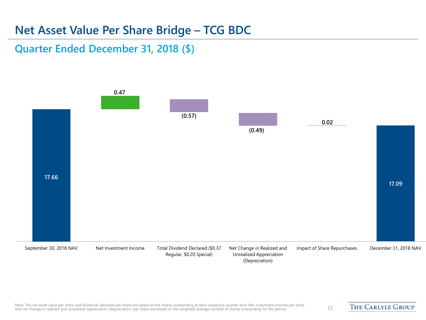### **Net Asset Value Per Share Bridge – TCG BDC**

#### **Quarter Ended December 31, 2018 (\$)**

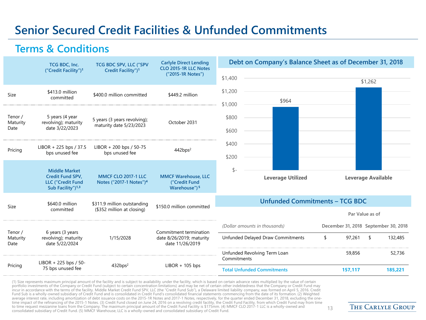## **Senior Secured Credit Facilities & Unfunded Commitments**

#### **Terms & Conditions**

|                             | TCG BDC, Inc.                                                                                         | TCG BDC SPV, LLC ("SPV                                            | <b>Carlyle Direct Lending</b>                                           | Debt on Company's Balance Sheet as of December 31, 2018 |                                      |                           |
|-----------------------------|-------------------------------------------------------------------------------------------------------|-------------------------------------------------------------------|-------------------------------------------------------------------------|---------------------------------------------------------|--------------------------------------|---------------------------|
|                             | ("Credit Facility") <sup>1</sup>                                                                      | Credit Facility") <sup>1</sup>                                    | CLO 2015-1R LLC Notes<br>("2015-1R Notes")                              | \$1,400                                                 |                                      | \$1,262                   |
| Size                        | \$413.0 million<br>committed                                                                          | \$400.0 million committed                                         | \$449.2 million                                                         | \$1,200<br>\$964                                        |                                      |                           |
| Tenor /<br>Maturity<br>Date | 5 years (4 year<br>revolving); maturity<br>date 3/22/2023                                             | 5 years (3 years revolving);<br>maturity date 5/23/2023           | October 2031                                                            | \$1,000<br>\$800<br>\$600                               |                                      |                           |
| Pricing                     | LIBOR + 225 bps / 37.5<br>bps unused fee                                                              | LIBOR + 200 bps / 50-75<br>bps unused fee                         | 442bps <sup>2</sup>                                                     | \$400<br>\$200                                          |                                      |                           |
|                             | <b>Middle Market</b><br>Credit Fund SPV,<br><b>LLC ("Credit Fund</b><br>Sub Facility") <sup>1,3</sup> | <b>MMCF CLO 2017-1 LLC</b><br>Notes ("2017-1 Notes") <sup>4</sup> | <b>MMCF Warehouse, LLC</b><br>("Credit Fund<br>Warehouse") <sup>5</sup> | \$-<br><b>Leverage Utilized</b>                         |                                      | <b>Leverage Available</b> |
| Size                        | \$640.0 million                                                                                       | \$311.9 million outstanding                                       | \$150.0 million committed                                               | <b>Unfunded Commitments - TCG BDC</b>                   |                                      |                           |
|                             | committed                                                                                             | (\$352 million at closing)                                        |                                                                         |                                                         | Par Value as of                      |                           |
| Tenor /                     | 6 years (3 years                                                                                      |                                                                   | Commitment termination                                                  | (Dollar amounts in thousands)                           | December 31, 2018 September 30, 2018 |                           |
| Maturity<br>Date            | revolving); maturity<br>date 5/22/2024                                                                | 1/15/2028                                                         | date 8/26/2019; maturity<br>date 11/26/2019                             | Unfunded Delayed Draw Commitments                       | 97,261<br>\$                         | 132,485<br>\$             |
|                             | LIBOR + 225 bps / 50-                                                                                 |                                                                   |                                                                         | Unfunded Revolving Term Loan<br>Commitments             | 59,856                               | 52,736                    |
| Pricing                     | 75 bps unused fee                                                                                     | 432bps <sup>2</sup>                                               | $LIBOR + 105$ bps                                                       | <b>Total Unfunded Commitments</b>                       | 157,117                              | 185,221                   |

(1) Size represents maximum principal amount of the facility and is subject to availability under the facility, which is based on certain advance rates multiplied by the value of certain<br>portfolio investments of the Compan incur in accordance with the terms of the facility. Middle Market Credit Fund SPV, LLC (the "Credit Fund Sub"), a Delaware limited liability company, was formed on April 5, 2016. Credit<br>Fund Sub is a wholly-owned subsidiar time impact of the refinancing of the 2015-1 Notes. (3) Credit Fund closed on June 24, 2016 on a revolving credit facility, the Credit Fund Facility, from which Credit Fund may from time to time request mezzanine loans from the Company. The maximum principal amount of the Credit Fund Facility is \$175mm. (4) MMCF CLO 2017-1 LLC is a wholly-owned and to time request mezzanine loans from the Company. The maximum principal amount of the Credit Fund Facility is \$175mm. (4) MMCF CLO 2017-1 LLC is a wholly-owned and 213<br>Consolidated subsidiary of Credit Fund. (5) MMCF Wareh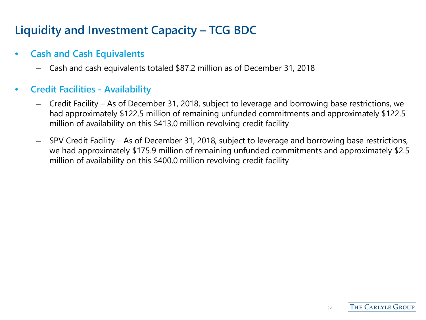## **Liquidity and Investment Capacity – TCG BDC**

#### • **Cash and Cash Equivalents**

– Cash and cash equivalents totaled \$87.2 million as of December 31, 2018

#### • **Credit Facilities - Availability**

- Credit Facility As of December 31, 2018, subject to leverage and borrowing base restrictions, we had approximately \$122.5 million of remaining unfunded commitments and approximately \$122.5 million of availability on this \$413.0 million revolving credit facility
- SPV Credit Facility As of December 31, 2018, subject to leverage and borrowing base restrictions, we had approximately \$175.9 million of remaining unfunded commitments and approximately \$2.5 million of availability on this \$400.0 million revolving credit facility